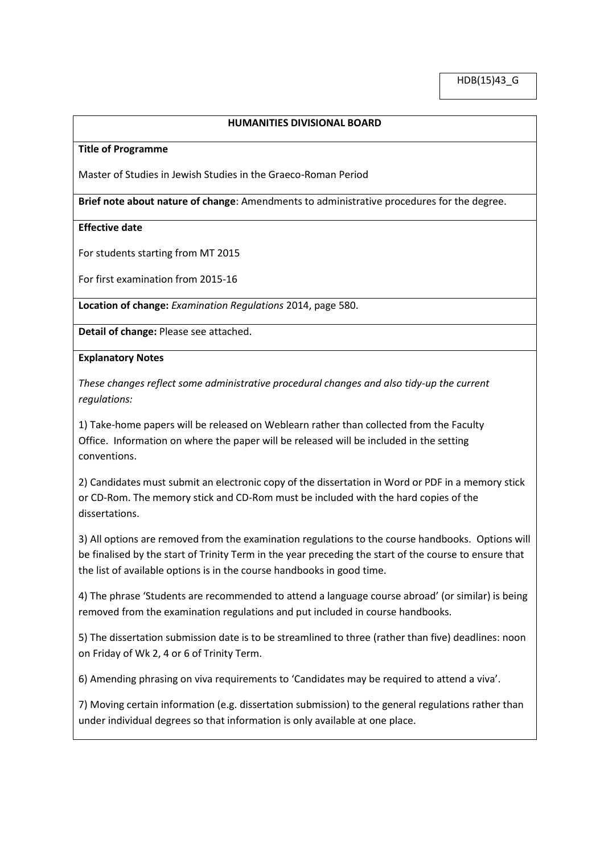## **HUMANITIES DIVISIONAL BOARD**

#### **Title of Programme**

Master of Studies in Jewish Studies in the Graeco-Roman Period

**Brief note about nature of change**: Amendments to administrative procedures for the degree.

### **Effective date**

For students starting from MT 2015

For first examination from 2015-16

**Location of change:** *Examination Regulations* 2014, page 580.

**Detail of change:** Please see attached.

### **Explanatory Notes**

*These changes reflect some administrative procedural changes and also tidy-up the current regulations:*

1) Take-home papers will be released on Weblearn rather than collected from the Faculty Office. Information on where the paper will be released will be included in the setting conventions.

2) Candidates must submit an electronic copy of the dissertation in Word or PDF in a memory stick or CD-Rom. The memory stick and CD-Rom must be included with the hard copies of the dissertations.

3) All options are removed from the examination regulations to the course handbooks. Options will be finalised by the start of Trinity Term in the year preceding the start of the course to ensure that the list of available options is in the course handbooks in good time.

4) The phrase 'Students are recommended to attend a language course abroad' (or similar) is being removed from the examination regulations and put included in course handbooks.

5) The dissertation submission date is to be streamlined to three (rather than five) deadlines: noon on Friday of Wk 2, 4 or 6 of Trinity Term.

6) Amending phrasing on viva requirements to 'Candidates may be required to attend a viva'.

7) Moving certain information (e.g. dissertation submission) to the general regulations rather than under individual degrees so that information is only available at one place.